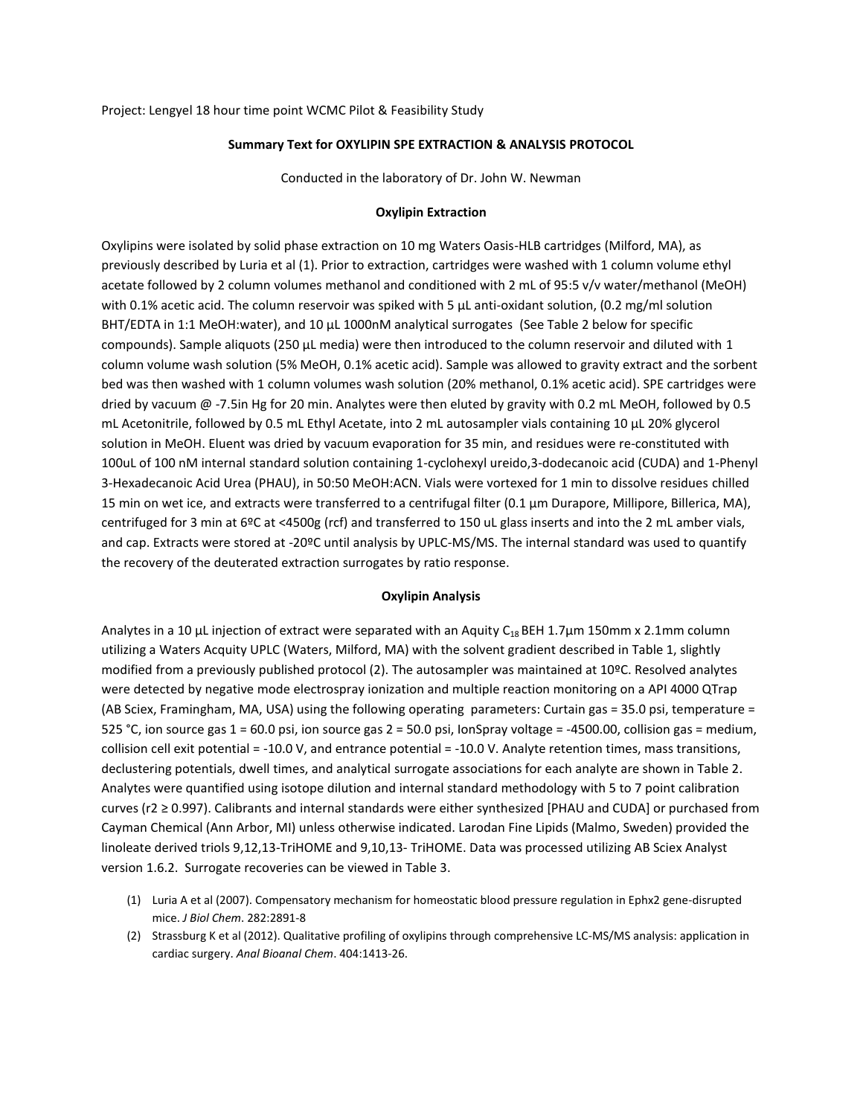Project: Lengyel 18 hour time point WCMC Pilot & Feasibility Study

## **Summary Text for OXYLIPIN SPE EXTRACTION & ANALYSIS PROTOCOL**

Conducted in the laboratory of Dr. John W. Newman

## **Oxylipin Extraction**

Oxylipins were isolated by solid phase extraction on 10 mg Waters Oasis-HLB cartridges (Milford, MA), as previously described by Luria et al (1). Prior to extraction, cartridges were washed with 1 column volume ethyl acetate followed by 2 column volumes methanol and conditioned with 2 mL of 95:5 v/v water/methanol (MeOH) with 0.1% acetic acid. The column reservoir was spiked with 5  $\mu$ L anti-oxidant solution, (0.2 mg/ml solution BHT/EDTA in 1:1 MeOH:water), and 10 μL 1000nM analytical surrogates (See Table 2 below for specific compounds). Sample aliquots (250 μL media) were then introduced to the column reservoir and diluted with 1 column volume wash solution (5% MeOH, 0.1% acetic acid). Sample was allowed to gravity extract and the sorbent bed was then washed with 1 column volumes wash solution (20% methanol, 0.1% acetic acid). SPE cartridges were dried by vacuum @ -7.5in Hg for 20 min. Analytes were then eluted by gravity with 0.2 mL MeOH, followed by 0.5 mL Acetonitrile, followed by 0.5 mL Ethyl Acetate, into 2 mL autosampler vials containing 10 µL 20% glycerol solution in MeOH. Eluent was dried by vacuum evaporation for 35 min, and residues were re-constituted with 100uL of 100 nM internal standard solution containing 1-cyclohexyl ureido,3-dodecanoic acid (CUDA) and 1-Phenyl 3-Hexadecanoic Acid Urea (PHAU), in 50:50 MeOH:ACN. Vials were vortexed for 1 min to dissolve residues chilled 15 min on wet ice, and extracts were transferred to a centrifugal filter (0.1 µm Durapore, Millipore, Billerica, MA), centrifuged for 3 min at 6ºC at <4500g (rcf) and transferred to 150 uL glass inserts and into the 2 mL amber vials, and cap. Extracts were stored at -20ºC until analysis by UPLC-MS/MS. The internal standard was used to quantify the recovery of the deuterated extraction surrogates by ratio response.

## **Oxylipin Analysis**

Analytes in a 10 μL injection of extract were separated with an Aquity C<sub>18</sub> BEH 1.7<sub>µ</sub>m 150mm x 2.1mm column utilizing a Waters Acquity UPLC (Waters, Milford, MA) with the solvent gradient described in Table 1, slightly modified from a previously published protocol (2). The autosampler was maintained at 10ºC. Resolved analytes were detected by negative mode electrospray ionization and multiple reaction monitoring on a API 4000 QTrap (AB Sciex, Framingham, MA, USA) using the following operating parameters: Curtain gas = 35.0 psi, temperature = 525 °C, ion source gas 1 = 60.0 psi, ion source gas 2 = 50.0 psi, IonSpray voltage = -4500.00, collision gas = medium, collision cell exit potential = -10.0 V, and entrance potential = -10.0 V. Analyte retention times, mass transitions, declustering potentials, dwell times, and analytical surrogate associations for each analyte are shown in Table 2. Analytes were quantified using isotope dilution and internal standard methodology with 5 to 7 point calibration curves (r2 ≥ 0.997). Calibrants and internal standards were either synthesized [PHAU and CUDA] or purchased from Cayman Chemical (Ann Arbor, MI) unless otherwise indicated. Larodan Fine Lipids (Malmo, Sweden) provided the linoleate derived triols 9,12,13-TriHOME and 9,10,13- TriHOME. Data was processed utilizing AB Sciex Analyst version 1.6.2. Surrogate recoveries can be viewed in Table 3.

- (1) Luria A et al (2007). Compensatory mechanism for homeostatic blood pressure regulation in Ephx2 gene-disrupted mice. *J Biol Chem*. 282:2891-8
- (2) Strassburg K et al (2012). Qualitative profiling of oxylipins through comprehensive LC-MS/MS analysis: application in cardiac surgery. *Anal Bioanal Chem*. 404:1413-26.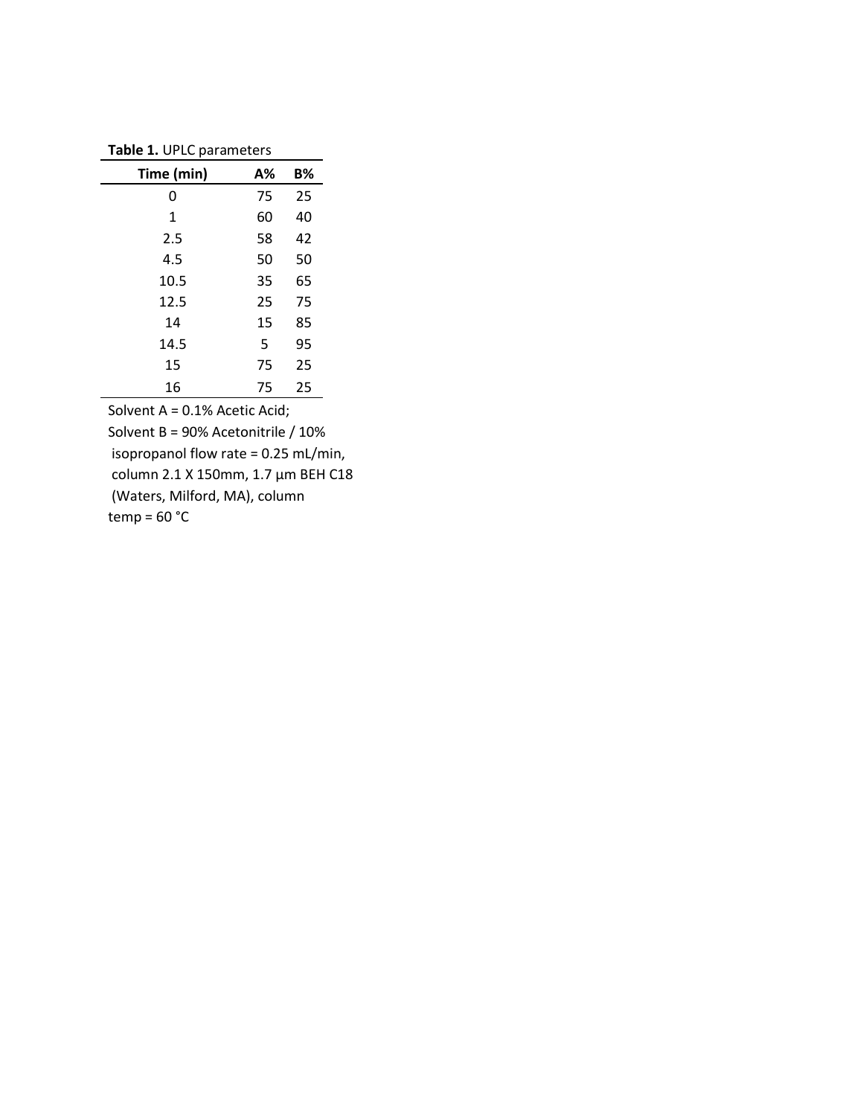**Table 1.** UPLC parameters

| Time (min) | А% | <b>B%</b> |
|------------|----|-----------|
| 0          | 75 | 25        |
| 1          | 60 | 40        |
| 2.5        | 58 | 42        |
| 4.5        | 50 | 50        |
| 10.5       | 35 | 65        |
| 12.5       | 25 | 75        |
| 14         | 15 | 85        |
| 14.5       | 5  | 95        |
| 15         | 75 | 25        |
| 16         | 75 | 25        |

Solvent A = 0.1% Acetic Acid;

Solvent B = 90% Acetonitrile / 10% isopropanol flow rate = 0.25 mL/min, column 2.1 X 150mm, 1.7 µm BEH C18 (Waters, Milford, MA), column temp =  $60 °C$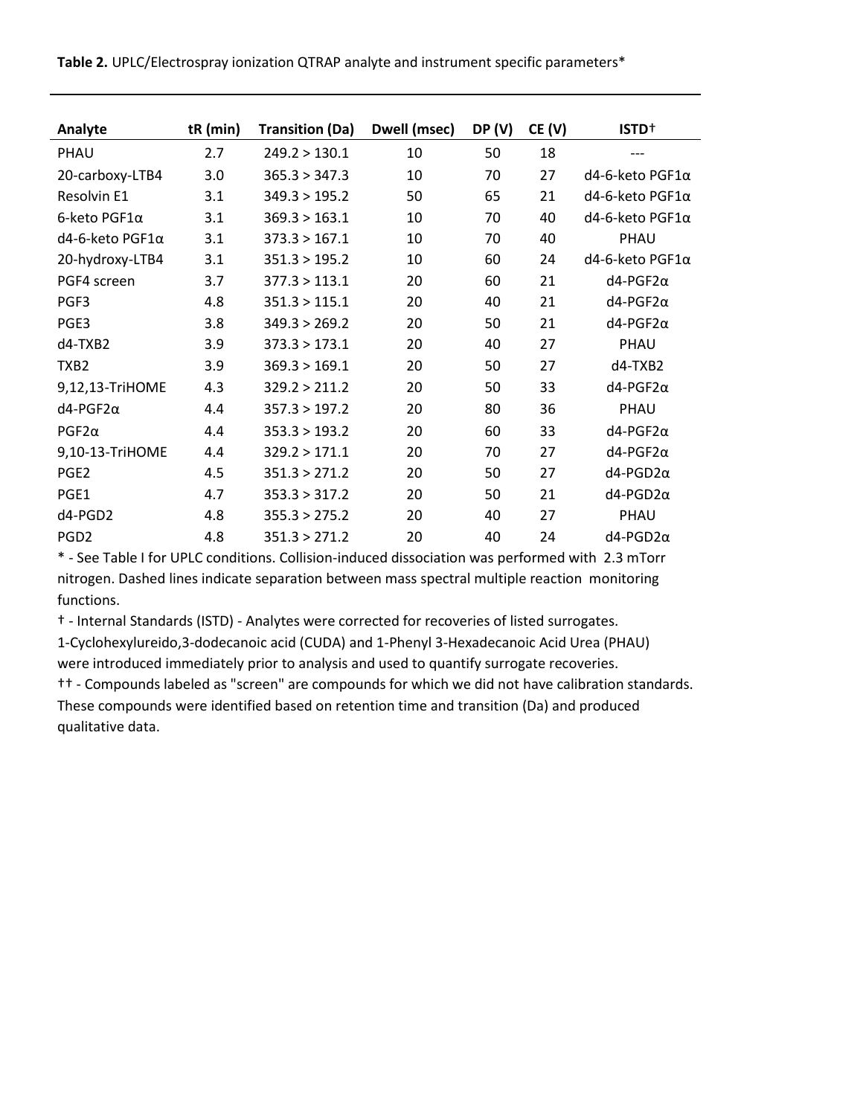| Analyte            | $tR$ (min) | <b>Transition (Da)</b> | Dwell (msec) | DP(V) | CE(V) | ISTD <sup>+</sup>          |
|--------------------|------------|------------------------|--------------|-------|-------|----------------------------|
| PHAU               | 2.7        | 249.2 > 130.1          | 10           | 50    | 18    | ---                        |
| 20-carboxy-LTB4    | 3.0        | 365.3 > 347.3          | 10           | 70    | 27    | d4-6-keto PGF1α            |
| Resolvin E1        | 3.1        | 349.3 > 195.2          | 50           | 65    | 21    | $d4-6$ -keto PGF1 $\alpha$ |
| 6-keto PGF1α       | 3.1        | 369.3 > 163.1          | 10           | 70    | 40    | d4-6-keto PGF1α            |
| $d$ 4-6-keto PGF1α | 3.1        | 373.3 > 167.1          | 10           | 70    | 40    | PHAU                       |
| 20-hydroxy-LTB4    | 3.1        | 351.3 > 195.2          | 10           | 60    | 24    | $d4-6$ -keto PGF1 $\alpha$ |
| PGF4 screen        | 3.7        | 377.3 > 113.1          | 20           | 60    | 21    | $d4-PGF2\alpha$            |
| PGF3               | 4.8        | 351.3 > 115.1          | 20           | 40    | 21    | $d4-PGF2\alpha$            |
| PGE3               | 3.8        | 349.3 > 269.2          | 20           | 50    | 21    | $d4-PGF2\alpha$            |
| d4-TXB2            | 3.9        | 373.3 > 173.1          | 20           | 40    | 27    | PHAU                       |
| TXB <sub>2</sub>   | 3.9        | 369.3 > 169.1          | 20           | 50    | 27    | d4-TXB2                    |
| 9,12,13-TriHOME    | 4.3        | 329.2 > 211.2          | 20           | 50    | 33    | $d4-PGF2\alpha$            |
| $d4-PGF2\alpha$    | 4.4        | 357.3 > 197.2          | 20           | 80    | 36    | PHAU                       |
| $PGF2\alpha$       | 4.4        | 353.3 > 193.2          | 20           | 60    | 33    | $d4-PGF2\alpha$            |
| 9,10-13-TriHOME    | 4.4        | 329.2 > 171.1          | 20           | 70    | 27    | $d4-PGF2\alpha$            |
| PGE <sub>2</sub>   | 4.5        | 351.3 > 271.2          | 20           | 50    | 27    | $d4-PGD2\alpha$            |
| PGE1               | 4.7        | 353.3 > 317.2          | 20           | 50    | 21    | $d4-PGD2\alpha$            |
| d4-PGD2            | 4.8        | 355.3 > 275.2          | 20           | 40    | 27    | PHAU                       |
| PGD <sub>2</sub>   | 4.8        | 351.3 > 271.2          | 20           | 40    | 24    | $d4-PGD2\alpha$            |

**Table 2.** UPLC/Electrospray ionization QTRAP analyte and instrument specific parameters\*

\* - See Table I for UPLC conditions. Collision-induced dissociation was performed with 2.3 mTorr nitrogen. Dashed lines indicate separation between mass spectral multiple reaction monitoring functions.

† - Internal Standards (ISTD) - Analytes were corrected for recoveries of listed surrogates.

1-Cyclohexylureido,3-dodecanoic acid (CUDA) and 1-Phenyl 3-Hexadecanoic Acid Urea (PHAU) were introduced immediately prior to analysis and used to quantify surrogate recoveries. †† - Compounds labeled as "screen" are compounds for which we did not have calibration standards. These compounds were identified based on retention time and transition (Da) and produced qualitative data.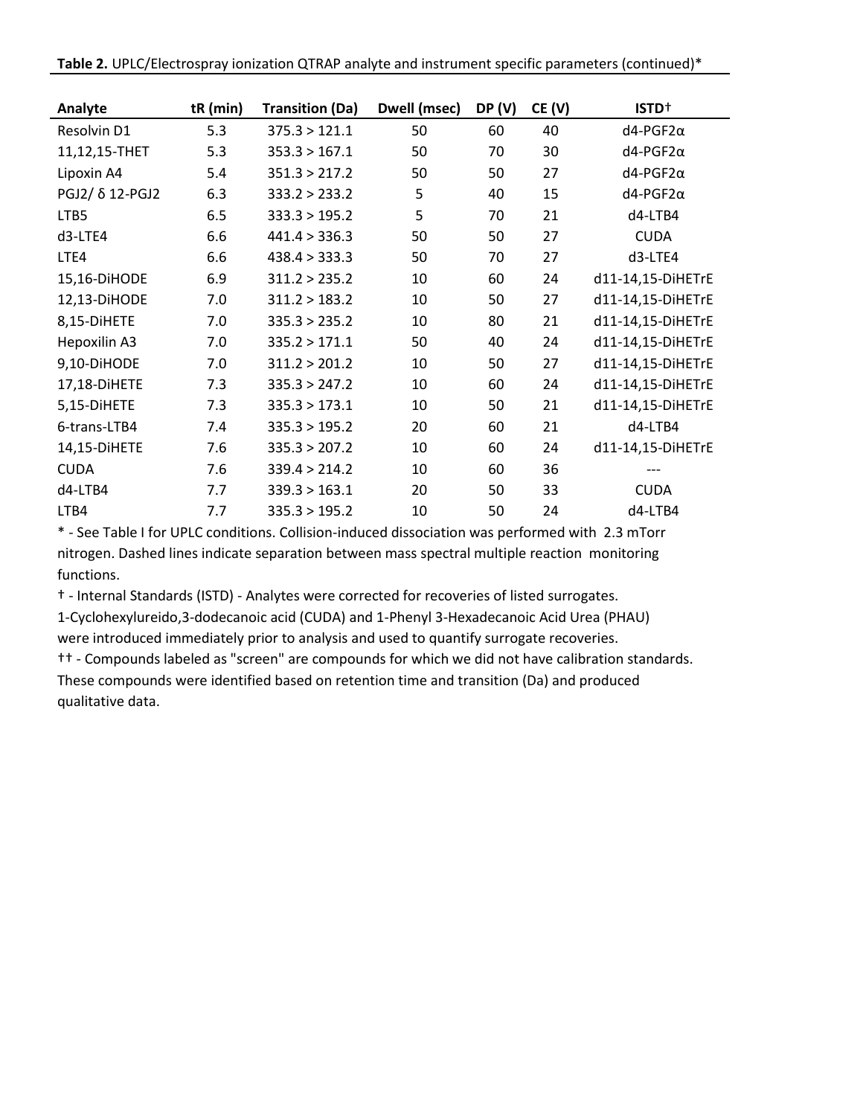| Analyte         | tR (min) | <b>Transition (Da)</b> | Dwell (msec) | DP(V) | CE (V) | ISTD <sup>+</sup> |
|-----------------|----------|------------------------|--------------|-------|--------|-------------------|
| Resolvin D1     | 5.3      | 375.3 > 121.1          | 50           | 60    | 40     | $d4-PGF2\alpha$   |
| 11,12,15-THET   | 5.3      | 353.3 > 167.1          | 50           | 70    | 30     | $d4-PGF2\alpha$   |
| Lipoxin A4      | 5.4      | 351.3 > 217.2          | 50           | 50    | 27     | $d4-PGF2\alpha$   |
| PGJ2/ δ 12-PGJ2 | 6.3      | 333.2 > 233.2          | 5            | 40    | 15     | $d4-PGF2\alpha$   |
| LTB5            | 6.5      | 333.3 > 195.2          | 5            | 70    | 21     | d4-LTB4           |
| d3-LTE4         | 6.6      | 441.4 > 336.3          | 50           | 50    | 27     | <b>CUDA</b>       |
| LTE4            | 6.6      | 438.4 > 333.3          | 50           | 70    | 27     | d3-LTE4           |
| 15,16-DiHODE    | 6.9      | 311.2 > 235.2          | 10           | 60    | 24     | d11-14,15-DiHETrE |
| 12,13-DiHODE    | 7.0      | 311.2 > 183.2          | 10           | 50    | 27     | d11-14,15-DiHETrE |
| 8,15-DIHETE     | 7.0      | 335.3 > 235.2          | 10           | 80    | 21     | d11-14,15-DiHETrE |
| Hepoxilin A3    | 7.0      | 335.2 > 171.1          | 50           | 40    | 24     | d11-14,15-DiHETrE |
| 9,10-DiHODE     | 7.0      | 311.2 > 201.2          | 10           | 50    | 27     | d11-14,15-DiHETrE |
| 17,18-DIHETE    | 7.3      | 335.3 > 247.2          | 10           | 60    | 24     | d11-14,15-DiHETrE |
| 5,15-DiHETE     | 7.3      | 335.3 > 173.1          | 10           | 50    | 21     | d11-14,15-DiHETrE |
| 6-trans-LTB4    | 7.4      | 335.3 > 195.2          | 20           | 60    | 21     | d4-LTB4           |
| 14,15-DiHETE    | 7.6      | 335.3 > 207.2          | 10           | 60    | 24     | d11-14,15-DiHETrE |
| <b>CUDA</b>     | 7.6      | 339.4 > 214.2          | 10           | 60    | 36     |                   |
| d4-LTB4         | 7.7      | 339.3 > 163.1          | 20           | 50    | 33     | <b>CUDA</b>       |
| LTB4            | 7.7      | 335.3 > 195.2          | 10           | 50    | 24     | d4-LTB4           |

† - Internal Standards (ISTD) - Analytes were corrected for recoveries of listed surrogates.

1-Cyclohexylureido,3-dodecanoic acid (CUDA) and 1-Phenyl 3-Hexadecanoic Acid Urea (PHAU)

were introduced immediately prior to analysis and used to quantify surrogate recoveries.

†† - Compounds labeled as "screen" are compounds for which we did not have calibration standards. These compounds were identified based on retention time and transition (Da) and produced qualitative data.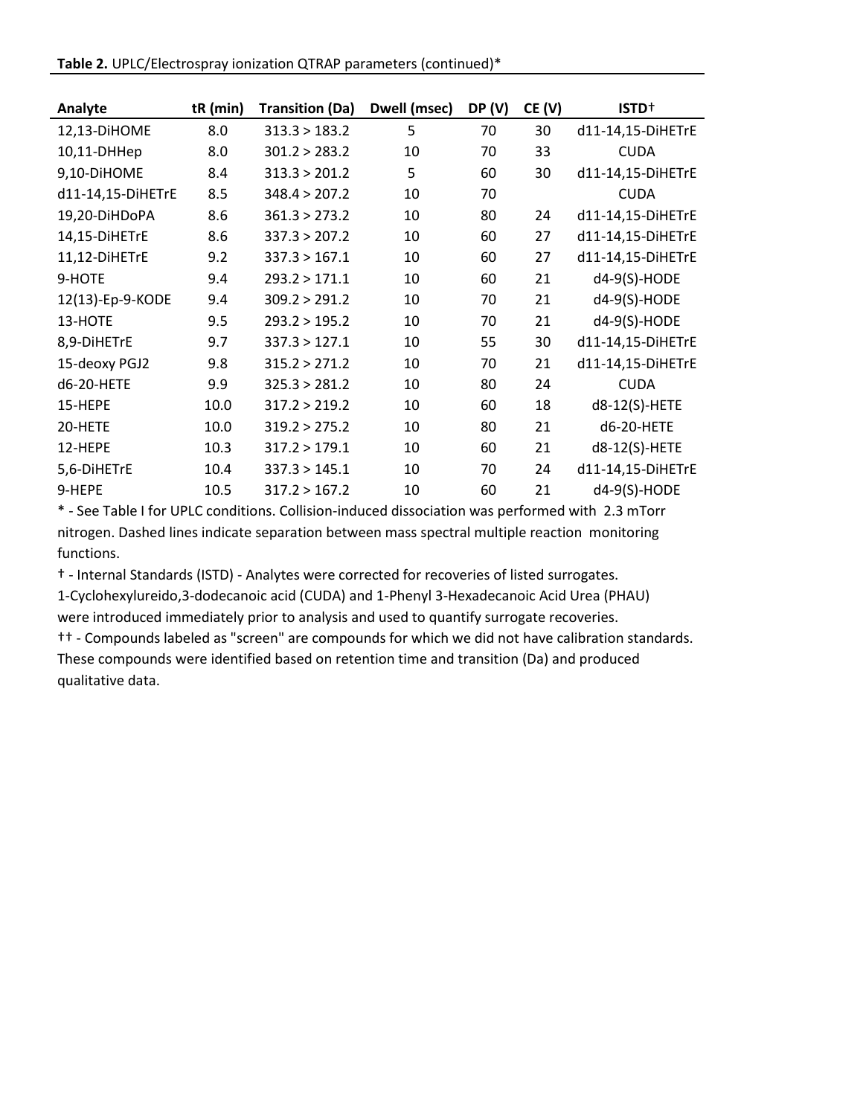| Analyte           | tR (min) | <b>Transition (Da)</b> | Dwell (msec) | DP(V) | CE(V) | ISTD <sup>+</sup> |
|-------------------|----------|------------------------|--------------|-------|-------|-------------------|
| 12,13-DiHOME      | 8.0      | 313.3 > 183.2          | 5            | 70    | 30    | d11-14,15-DiHETrE |
| 10,11-DHHep       | 8.0      | 301.2 > 283.2          | 10           | 70    | 33    | <b>CUDA</b>       |
| 9,10-DIHOME       | 8.4      | 313.3 > 201.2          | 5            | 60    | 30    | d11-14,15-DiHETrE |
| d11-14,15-DiHETrE | 8.5      | 348.4 > 207.2          | 10           | 70    |       | <b>CUDA</b>       |
| 19,20-DiHDoPA     | 8.6      | 361.3 > 273.2          | 10           | 80    | 24    | d11-14,15-DiHETrE |
| 14,15-DiHETrE     | 8.6      | 337.3 > 207.2          | 10           | 60    | 27    | d11-14,15-DiHETrE |
| 11,12-DiHETrE     | 9.2      | 337.3 > 167.1          | 10           | 60    | 27    | d11-14,15-DiHETrE |
| 9-HOTE            | 9.4      | 293.2 > 171.1          | 10           | 60    | 21    | $d4-9(S)-HODE$    |
| 12(13)-Ep-9-KODE  | 9.4      | 309.2 > 291.2          | 10           | 70    | 21    | d4-9(S)-HODE      |
| 13-HOTE           | 9.5      | 293.2 > 195.2          | 10           | 70    | 21    | d4-9(S)-HODE      |
| 8,9-DiHETrE       | 9.7      | 337.3 > 127.1          | 10           | 55    | 30    | d11-14,15-DiHETrE |
| 15-deoxy PGJ2     | 9.8      | 315.2 > 271.2          | 10           | 70    | 21    | d11-14,15-DiHETrE |
| d6-20-HETE        | 9.9      | 325.3 > 281.2          | 10           | 80    | 24    | <b>CUDA</b>       |
| 15-HEPE           | 10.0     | 317.2 > 219.2          | 10           | 60    | 18    | d8-12(S)-HETE     |
| 20-HETE           | 10.0     | 319.2 > 275.2          | 10           | 80    | 21    | d6-20-HETE        |
| 12-HEPE           | 10.3     | 317.2 > 179.1          | 10           | 60    | 21    | d8-12(S)-HETE     |
| 5,6-DiHETrE       | 10.4     | 337.3 > 145.1          | 10           | 70    | 24    | d11-14,15-DiHETrE |
| 9-HEPE            | 10.5     | 317.2 > 167.2          | 10           | 60    | 21    | d4-9(S)-HODE      |

† - Internal Standards (ISTD) - Analytes were corrected for recoveries of listed surrogates.

1-Cyclohexylureido,3-dodecanoic acid (CUDA) and 1-Phenyl 3-Hexadecanoic Acid Urea (PHAU) were introduced immediately prior to analysis and used to quantify surrogate recoveries.

†† - Compounds labeled as "screen" are compounds for which we did not have calibration standards. These compounds were identified based on retention time and transition (Da) and produced qualitative data.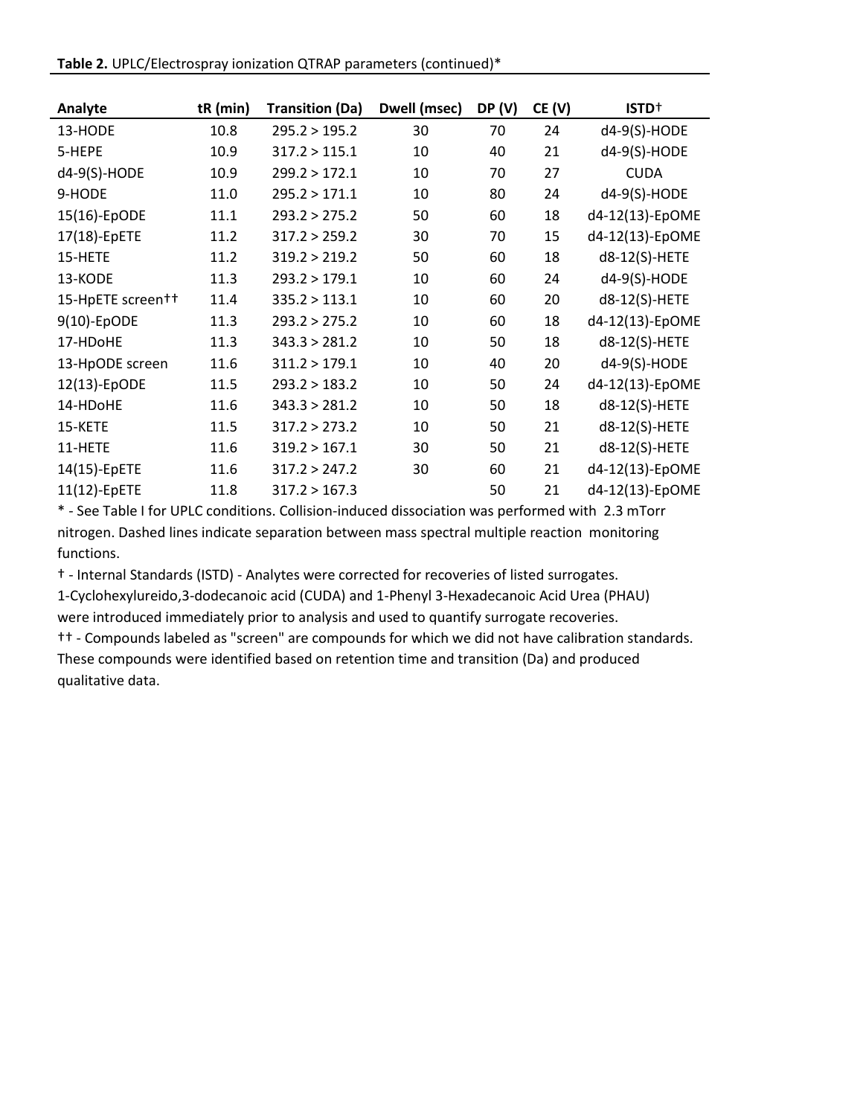| Analyte           | tR (min) | <b>Transition (Da)</b> | Dwell (msec) | DP(V) | CE(V) | ISTD <sup>+</sup> |
|-------------------|----------|------------------------|--------------|-------|-------|-------------------|
| 13-HODE           | 10.8     | 295.2 > 195.2          | 30           | 70    | 24    | d4-9(S)-HODE      |
| 5-HEPE            | 10.9     | 317.2 > 115.1          | 10           | 40    | 21    | d4-9(S)-HODE      |
| d4-9(S)-HODE      | 10.9     | 299.2 > 172.1          | 10           | 70    | 27    | <b>CUDA</b>       |
| 9-HODE            | 11.0     | 295.2 > 171.1          | 10           | 80    | 24    | d4-9(S)-HODE      |
| 15(16)-EpODE      | 11.1     | 293.2 > 275.2          | 50           | 60    | 18    | d4-12(13)-EpOME   |
| 17(18)-EpETE      | 11.2     | 317.2 > 259.2          | 30           | 70    | 15    | d4-12(13)-EpOME   |
| 15-HETE           | 11.2     | 319.2 > 219.2          | 50           | 60    | 18    | d8-12(S)-HETE     |
| 13-KODE           | 11.3     | 293.2 > 179.1          | 10           | 60    | 24    | d4-9(S)-HODE      |
| 15-HpETE screen++ | 11.4     | 335.2 > 113.1          | 10           | 60    | 20    | d8-12(S)-HETE     |
| 9(10)-EpODE       | 11.3     | 293.2 > 275.2          | 10           | 60    | 18    | d4-12(13)-EpOME   |
| 17-HDoHE          | 11.3     | 343.3 > 281.2          | 10           | 50    | 18    | d8-12(S)-HETE     |
| 13-HpODE screen   | 11.6     | 311.2 > 179.1          | 10           | 40    | 20    | d4-9(S)-HODE      |
| 12(13)-EpODE      | 11.5     | 293.2 > 183.2          | 10           | 50    | 24    | d4-12(13)-EpOME   |
| 14-HDoHE          | 11.6     | 343.3 > 281.2          | 10           | 50    | 18    | d8-12(S)-HETE     |
| 15-KETE           | 11.5     | 317.2 > 273.2          | 10           | 50    | 21    | d8-12(S)-HETE     |
| 11-HETE           | 11.6     | 319.2 > 167.1          | 30           | 50    | 21    | d8-12(S)-HETE     |
| 14(15)-EpETE      | 11.6     | 317.2 > 247.2          | 30           | 60    | 21    | d4-12(13)-EpOME   |
| 11(12)-EpETE      | 11.8     | 317.2 > 167.3          |              | 50    | 21    | d4-12(13)-EpOME   |

† - Internal Standards (ISTD) - Analytes were corrected for recoveries of listed surrogates.

1-Cyclohexylureido,3-dodecanoic acid (CUDA) and 1-Phenyl 3-Hexadecanoic Acid Urea (PHAU) were introduced immediately prior to analysis and used to quantify surrogate recoveries.

†† - Compounds labeled as "screen" are compounds for which we did not have calibration standards. These compounds were identified based on retention time and transition (Da) and produced qualitative data.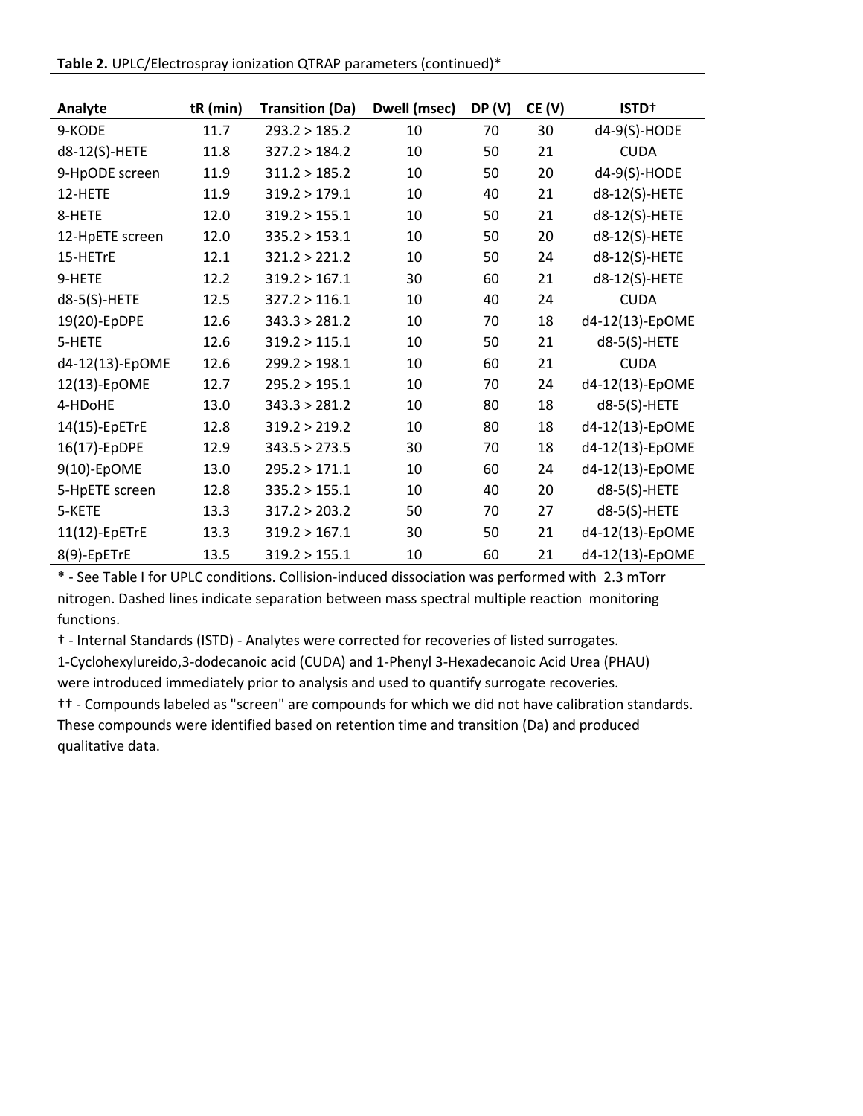| Analyte         | $tR$ (min) | <b>Transition (Da)</b> | Dwell (msec) | DP(V) | CE(V) | ISTD <sup>+</sup> |
|-----------------|------------|------------------------|--------------|-------|-------|-------------------|
| 9-KODE          | 11.7       | 293.2 > 185.2          | 10           | 70    | 30    | d4-9(S)-HODE      |
| d8-12(S)-HETE   | 11.8       | 327.2 > 184.2          | 10           | 50    | 21    | <b>CUDA</b>       |
| 9-HpODE screen  | 11.9       | 311.2 > 185.2          | 10           | 50    | 20    | d4-9(S)-HODE      |
| 12-HETE         | 11.9       | 319.2 > 179.1          | 10           | 40    | 21    | d8-12(S)-HETE     |
| 8-HETE          | 12.0       | 319.2 > 155.1          | 10           | 50    | 21    | d8-12(S)-HETE     |
| 12-HpETE screen | 12.0       | 335.2 > 153.1          | 10           | 50    | 20    | d8-12(S)-HETE     |
| 15-HETrE        | 12.1       | 321.2 > 221.2          | 10           | 50    | 24    | d8-12(S)-HETE     |
| 9-HETE          | 12.2       | 319.2 > 167.1          | 30           | 60    | 21    | d8-12(S)-HETE     |
| $d8-5(S)$ -HETE | 12.5       | 327.2 > 116.1          | 10           | 40    | 24    | <b>CUDA</b>       |
| 19(20)-EpDPE    | 12.6       | 343.3 > 281.2          | 10           | 70    | 18    | d4-12(13)-EpOME   |
| 5-HETE          | 12.6       | 319.2 > 115.1          | 10           | 50    | 21    | d8-5(S)-HETE      |
| d4-12(13)-EpOME | 12.6       | 299.2 > 198.1          | 10           | 60    | 21    | <b>CUDA</b>       |
| 12(13)-EpOME    | 12.7       | 295.2 > 195.1          | 10           | 70    | 24    | d4-12(13)-EpOME   |
| 4-HDoHE         | 13.0       | 343.3 > 281.2          | 10           | 80    | 18    | d8-5(S)-HETE      |
| 14(15)-EpETrE   | 12.8       | 319.2 > 219.2          | 10           | 80    | 18    | d4-12(13)-EpOME   |
| 16(17)-EpDPE    | 12.9       | 343.5 > 273.5          | 30           | 70    | 18    | d4-12(13)-EpOME   |
| 9(10)-EpOME     | 13.0       | 295.2 > 171.1          | 10           | 60    | 24    | d4-12(13)-EpOME   |
| 5-HpETE screen  | 12.8       | 335.2 > 155.1          | 10           | 40    | 20    | $d8-5(S)$ -HETE   |
| 5-KETE          | 13.3       | 317.2 > 203.2          | 50           | 70    | 27    | d8-5(S)-HETE      |
| 11(12)-EpETrE   | 13.3       | 319.2 > 167.1          | 30           | 50    | 21    | d4-12(13)-EpOME   |
| 8(9)-EpETrE     | 13.5       | 319.2 > 155.1          | 10           | 60    | 21    | d4-12(13)-EpOME   |

† - Internal Standards (ISTD) - Analytes were corrected for recoveries of listed surrogates.

1-Cyclohexylureido,3-dodecanoic acid (CUDA) and 1-Phenyl 3-Hexadecanoic Acid Urea (PHAU) were introduced immediately prior to analysis and used to quantify surrogate recoveries. †† - Compounds labeled as "screen" are compounds for which we did not have calibration standards. These compounds were identified based on retention time and transition (Da) and produced qualitative data.